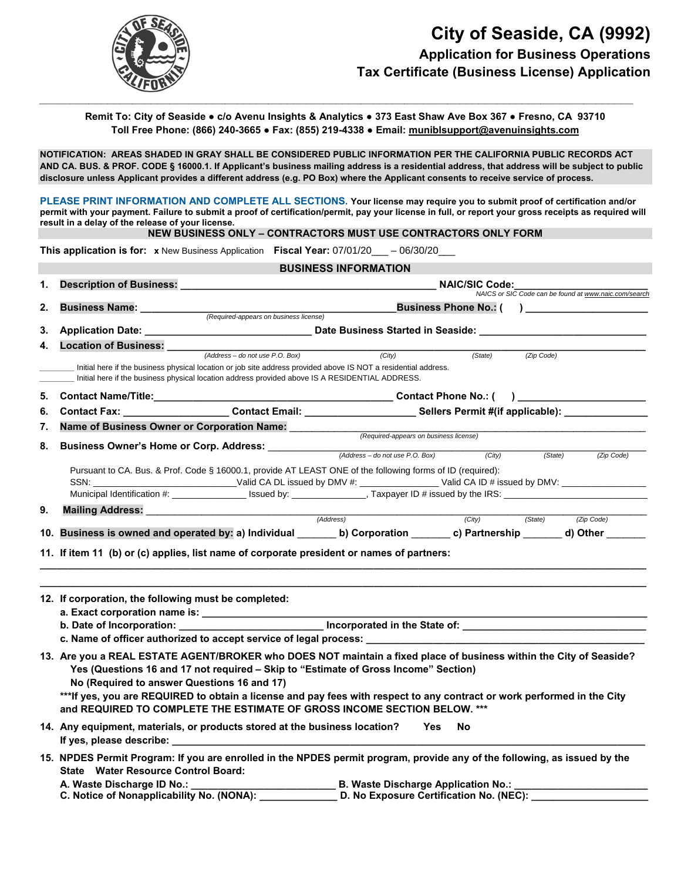

**Remit To: City of Seaside ● c/o Avenu Insights & Analytics ● 373 East Shaw Ave Box 367 ● Fresno, CA 93710 Toll Free Phone: (866) 240-3665 ● Fax: (855) 219-4338 ● Email: muniblsupport@avenuinsights.com** 

**NOTIFICATION: AREAS SHADED IN GRAY SHALL BE CONSIDERED PUBLIC INFORMATION PER THE CALIFORNIA PUBLIC RECORDS ACT AND CA. BUS. & PROF. CODE § 16000.1. If Applicant's business mailing address is a residential address, that address will be subject to public disclosure unless Applicant provides a different address (e.g. PO Box) where the Applicant consents to receive service of process.** 

**PLEASE PRINT INFORMATION AND COMPLETE ALL SECTIONS. Your license may require you to submit proof of certification and/or permit with your payment. Failure to submit a proof of certification/permit, pay your license in full, or report your gross receipts as required will result in a delay of the release of your license.**

**NEW BUSINESS ONLY – CONTRACTORS MUST USE CONTRACTORS ONLY FORM** 

|          | <b>This application is for:</b> x New Business Application Fiscal Year: $07/01/20$ __ $- 06/30/20$ __                                                                                                                                                                                                                                                                                                                                                            |                                                                                                 |                                                                                                                                                                                                                               |                         |            |            |  |
|----------|------------------------------------------------------------------------------------------------------------------------------------------------------------------------------------------------------------------------------------------------------------------------------------------------------------------------------------------------------------------------------------------------------------------------------------------------------------------|-------------------------------------------------------------------------------------------------|-------------------------------------------------------------------------------------------------------------------------------------------------------------------------------------------------------------------------------|-------------------------|------------|------------|--|
|          |                                                                                                                                                                                                                                                                                                                                                                                                                                                                  |                                                                                                 | <b>BUSINESS INFORMATION</b>                                                                                                                                                                                                   |                         |            |            |  |
| 1.       |                                                                                                                                                                                                                                                                                                                                                                                                                                                                  |                                                                                                 | Description of Business: NAIC/SIC Code:<br>NAICS or SIC Code can be found at www.naic.com/search                                                                                                                              |                         |            |            |  |
| 2.       | <b>Business Name:</b>                                                                                                                                                                                                                                                                                                                                                                                                                                            | (Required-appears on business license)                                                          |                                                                                                                                                                                                                               | Business Phone No.: ( ) |            |            |  |
| 3.       |                                                                                                                                                                                                                                                                                                                                                                                                                                                                  |                                                                                                 |                                                                                                                                                                                                                               |                         |            |            |  |
| 4.       | <b>Location of Business:</b><br>Location of Business: <u>Address – do not use P.O. Box</u> )                                                                                                                                                                                                                                                                                                                                                                     |                                                                                                 |                                                                                                                                                                                                                               |                         |            |            |  |
|          |                                                                                                                                                                                                                                                                                                                                                                                                                                                                  | Initial here if the business physical location address provided above IS A RESIDENTIAL ADDRESS. | (City)<br>Initial here if the business physical location or job site address provided above IS NOT a residential address.                                                                                                     | (State)                 | (Zip Code) |            |  |
| 5.       |                                                                                                                                                                                                                                                                                                                                                                                                                                                                  |                                                                                                 |                                                                                                                                                                                                                               |                         |            |            |  |
| 6.       |                                                                                                                                                                                                                                                                                                                                                                                                                                                                  |                                                                                                 | Contact Fax: _____________________Contact Email: ________________________Sellers Permit #(if applicable): ________________                                                                                                    |                         |            |            |  |
| 7.<br>8. | Business Owner's Home or Corp. Address: <u>(Address and not use P.O. Box)</u> (City)                                                                                                                                                                                                                                                                                                                                                                             |                                                                                                 |                                                                                                                                                                                                                               |                         |            |            |  |
|          | (State)<br>(Zip Code)<br>Pursuant to CA. Bus. & Prof. Code § 16000.1, provide AT LEAST ONE of the following forms of ID (required):<br>SSN: _______________________________Valid CA DL issued by DMV #: _________________Valid CA ID # issued by DMV: ________________________                                                                                                                                                                                   |                                                                                                 |                                                                                                                                                                                                                               |                         |            |            |  |
| 9.       | Mailing Address: <u>2000 mars and 2000 methods</u> and 2000 methods and 2000 methods and 2000 methods and 2000 methods and 2000 methods and 2000 methods and 2000 methods and 2000 methods and 2000 methods and 2000 methods and 20                                                                                                                                                                                                                              |                                                                                                 |                                                                                                                                                                                                                               |                         |            |            |  |
|          |                                                                                                                                                                                                                                                                                                                                                                                                                                                                  |                                                                                                 |                                                                                                                                                                                                                               | (City)                  | (State)    | (Zip Code) |  |
|          | 10. Business is owned and operated by: a) Individual _______ b) Corporation _______ c) Partnership ______ d) Other ______                                                                                                                                                                                                                                                                                                                                        |                                                                                                 |                                                                                                                                                                                                                               |                         |            |            |  |
|          | 11. If item 11 (b) or (c) applies, list name of corporate president or names of partners:                                                                                                                                                                                                                                                                                                                                                                        |                                                                                                 |                                                                                                                                                                                                                               |                         |            |            |  |
|          | 12. If corporation, the following must be completed:                                                                                                                                                                                                                                                                                                                                                                                                             |                                                                                                 |                                                                                                                                                                                                                               |                         |            |            |  |
|          |                                                                                                                                                                                                                                                                                                                                                                                                                                                                  |                                                                                                 | b. Date of Incorporation: _______________________________ Incorporated in the State of: ______________________________<br>c. Name of officer authorized to accept service of legal process: _________________________________ |                         |            |            |  |
|          | 13. Are you a REAL ESTATE AGENT/BROKER who DOES NOT maintain a fixed place of business within the City of Seaside?<br>Yes (Questions 16 and 17 not required - Skip to "Estimate of Gross Income" Section)<br>No (Required to answer Questions 16 and 17)<br>*** If yes, you are REQUIRED to obtain a license and pay fees with respect to any contract or work performed in the City<br>and REQUIRED TO COMPLETE THE ESTIMATE OF GROSS INCOME SECTION BELOW. *** |                                                                                                 |                                                                                                                                                                                                                               |                         |            |            |  |
|          | 14. Any equipment, materials, or products stored at the business location?<br><b>Yes</b><br>- No                                                                                                                                                                                                                                                                                                                                                                 |                                                                                                 |                                                                                                                                                                                                                               |                         |            |            |  |

**15. NPDES Permit Program: If you are enrolled in the NPDES permit program, provide any of the following, as issued by the State Water Resource Control Board:** 

**A. Waste Discharge ID No.: B. Waste Discharge Application No.: B. Waste Discharge Application No.:** 

**C. Notice of Nonapplicability No. (NONA): \_\_\_\_\_\_\_\_\_\_\_\_\_\_ D. No Exposure Certification No. (NEC): \_\_\_\_\_\_\_\_\_\_\_\_\_\_\_\_\_\_\_\_\_**